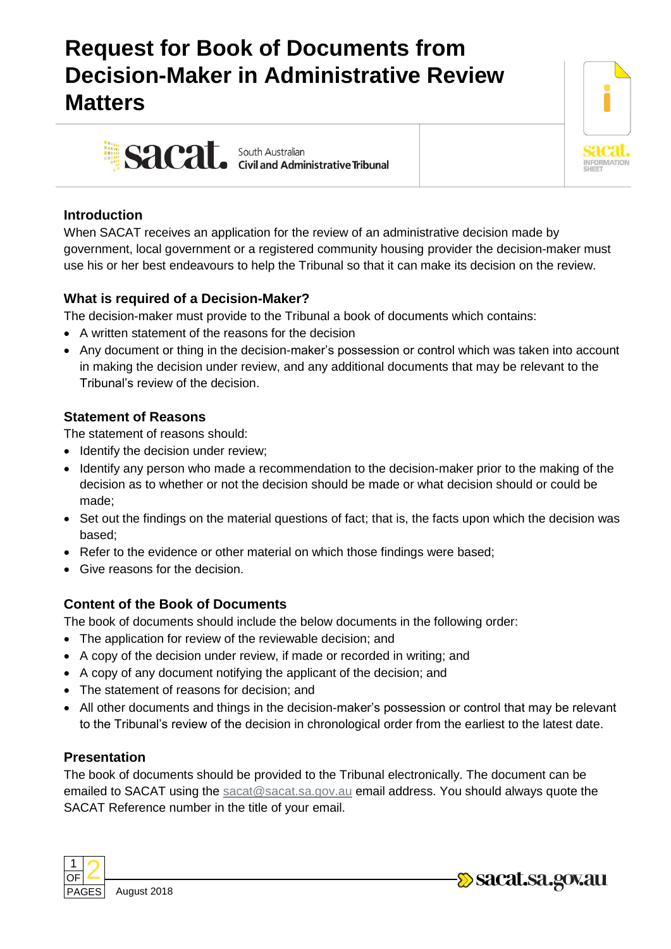# **Request for Book of Documents from Decision-Maker in Administrative Review Matters**

**Sacat** South Australian Civil and Administrative Tribunal



## **Introduction**

When SACAT receives an application for the review of an administrative decision made by government, local government or a registered community housing provider the decision-maker must use his or her best endeavours to help the Tribunal so that it can make its decision on the review.

## **What is required of a Decision-Maker?**

The decision-maker must provide to the Tribunal a book of documents which contains:

- A written statement of the reasons for the decision
- Any document or thing in the decision-maker's possession or control which was taken into account in making the decision under review, and any additional documents that may be relevant to the Tribunal's review of the decision.

#### **Statement of Reasons**

The statement of reasons should:

- Identify the decision under review;
- Identify any person who made a recommendation to the decision-maker prior to the making of the decision as to whether or not the decision should be made or what decision should or could be made;
- Set out the findings on the material questions of fact; that is, the facts upon which the decision was based;
- Refer to the evidence or other material on which those findings were based;
- Give reasons for the decision.

## **Content of the Book of Documents**

The book of documents should include the below documents in the following order:

- The application for review of the reviewable decision; and
- A copy of the decision under review, if made or recorded in writing; and
- A copy of any document notifying the applicant of the decision; and
- The statement of reasons for decision; and
- All other documents and things in the decision-maker's possession or control that may be relevant to the Tribunal's review of the decision in chronological order from the earliest to the latest date.

#### **Presentation**

The book of documents should be provided to the Tribunal electronically. The document can be emailed to SACAT using the [sacat@sacat.sa.gov.au](mailto:sacat@sacat.sa.gov.au) email address. You should always quote the SACAT Reference number in the title of your email.